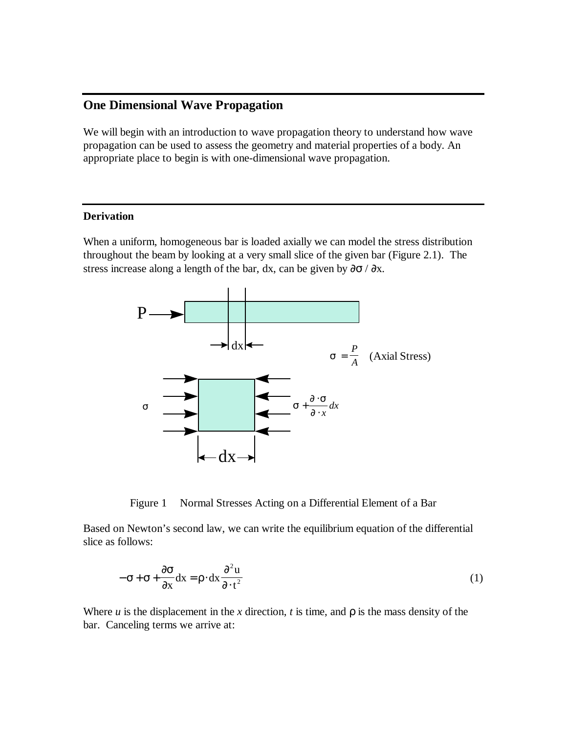# **One Dimensional Wave Propagation**

We will begin with an introduction to wave propagation theory to understand how wave propagation can be used to assess the geometry and material properties of a body. An appropriate place to begin is with one-dimensional wave propagation.

## **Derivation**

When a uniform, homogeneous bar is loaded axially we can model the stress distribution throughout the beam by looking at a very small slice of the given bar (Figure 2.1). The stress increase along a length of the bar, dx, can be given by  $\partial \sigma / \partial x$ .





Based on Newton's second law, we can write the equilibrium equation of the differential slice as follows:

$$
-\sigma + \sigma + \frac{\partial \sigma}{\partial x} dx = \rho \cdot dx \frac{\partial^2 u}{\partial \cdot t^2}
$$
 (1)

Where  $u$  is the displacement in the  $x$  direction,  $t$  is time, and  $r$  is the mass density of the bar. Canceling terms we arrive at: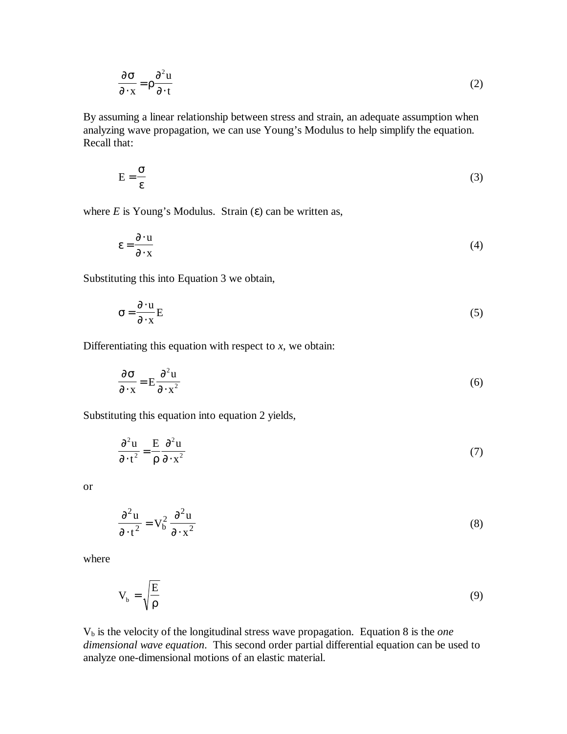$$
\frac{\partial \sigma}{\partial x} = \rho \frac{\partial^2 u}{\partial t}
$$
 (2)

By assuming a linear relationship between stress and strain, an adequate assumption when analyzing wave propagation, we can use Young's Modulus to help simplify the equation. Recall that:

$$
E = \frac{\sigma}{\varepsilon} \tag{3}
$$

where  $E$  is Young's Modulus. Strain  $(\varepsilon)$  can be written as,

$$
\varepsilon = \frac{\partial \cdot \mathbf{u}}{\partial \cdot \mathbf{x}}\tag{4}
$$

Substituting this into Equation 3 we obtain,

$$
\sigma = \frac{\partial \cdot u}{\partial \cdot x} E \tag{5}
$$

Differentiating this equation with respect to *x*, we obtain:

$$
\frac{\partial \sigma}{\partial x} = E \frac{\partial^2 u}{\partial x^2}
$$
 (6)

Substituting this equation into equation 2 yields,

$$
\frac{\partial^2 u}{\partial t^2} = \frac{E}{\rho} \frac{\partial^2 u}{\partial x^2}
$$
 (7)

or

$$
\frac{\partial^2 u}{\partial t^2} = V_b^2 \frac{\partial^2 u}{\partial x^2}
$$
 (8)

where

$$
V_b = \sqrt{\frac{E}{\rho}}
$$
 (9)

Vb is the velocity of the longitudinal stress wave propagation. Equation 8 is the *one dimensional wave equation*. This second order partial differential equation can be used to analyze one-dimensional motions of an elastic material.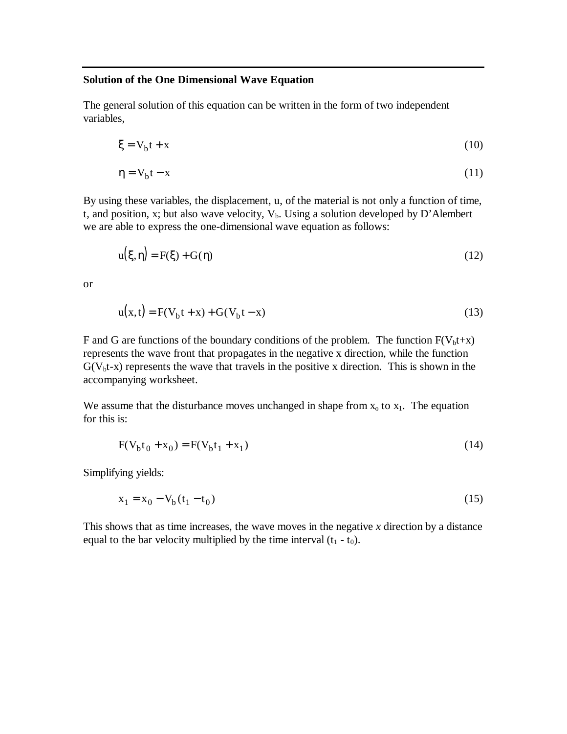#### **Solution of the One Dimensional Wave Equation**

The general solution of this equation can be written in the form of two independent variables,

$$
\xi = V_b t + x \tag{10}
$$

$$
\eta = V_b t - x \tag{11}
$$

By using these variables, the displacement, u, of the material is not only a function of time, t, and position, x; but also wave velocity,  $V_b$ . Using a solution developed by D'Alembert we are able to express the one-dimensional wave equation as follows:

$$
u(\xi, \eta) = F(\xi) + G(\eta)
$$
\n(12)

or

$$
u(x,t) = F(V_b t + x) + G(V_b t - x)
$$
\n(13)

F and G are functions of the boundary conditions of the problem. The function  $F(V_b t+x)$ represents the wave front that propagates in the negative x direction, while the function  $G(V_b t-x)$  represents the wave that travels in the positive x direction. This is shown in the accompanying worksheet.

We assume that the disturbance moves unchanged in shape from  $x_0$  to  $x_1$ . The equation for this is:

$$
F(V_b t_0 + x_0) = F(V_b t_1 + x_1)
$$
\n(14)

Simplifying yields:

$$
x_1 = x_0 - V_b(t_1 - t_0)
$$
 (15)

This shows that as time increases, the wave moves in the negative *x* direction by a distance equal to the bar velocity multiplied by the time interval  $(t_1 - t_0)$ .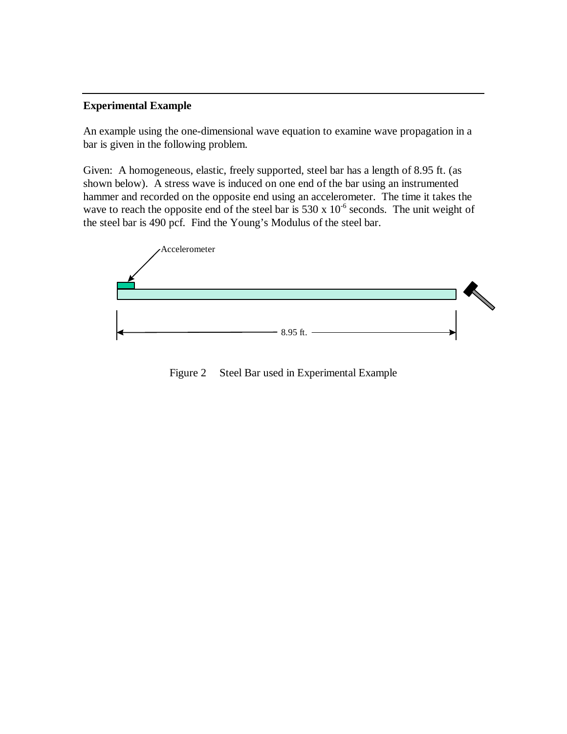## **Experimental Example**

An example using the one-dimensional wave equation to examine wave propagation in a bar is given in the following problem.

Given: A homogeneous, elastic, freely supported, steel bar has a length of 8.95 ft. (as shown below). A stress wave is induced on one end of the bar using an instrumented hammer and recorded on the opposite end using an accelerometer. The time it takes the wave to reach the opposite end of the steel bar is  $530 \times 10^{-6}$  seconds. The unit weight of the steel bar is 490 pcf. Find the Young's Modulus of the steel bar.



Figure 2 Steel Bar used in Experimental Example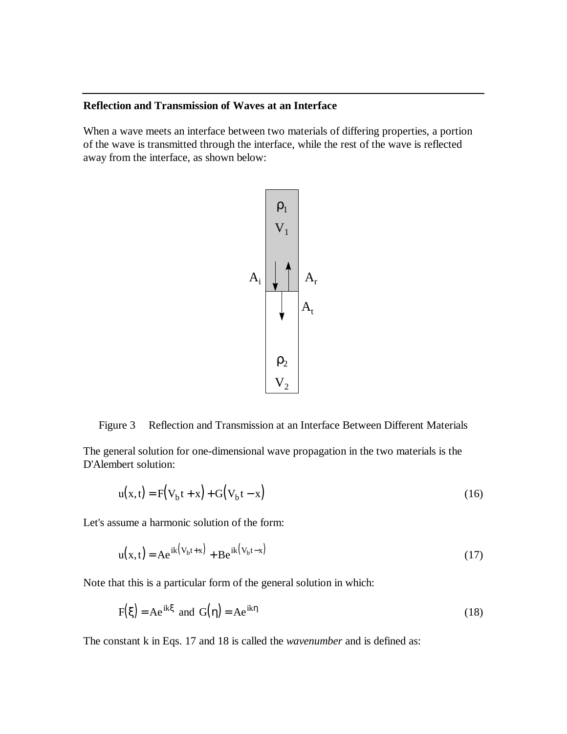### **Reflection and Transmission of Waves at an Interface**

When a wave meets an interface between two materials of differing properties, a portion of the wave is transmitted through the interface, while the rest of the wave is reflected away from the interface, as shown below:



Figure 3 Reflection and Transmission at an Interface Between Different Materials

The general solution for one-dimensional wave propagation in the two materials is the D'Alembert solution:

$$
u(x,t) = F(V_b t + x) + G(V_b t - x)
$$
\n(16)

Let's assume a harmonic solution of the form:

$$
u(x,t) = Ae^{ik(V_b t + x)} + Be^{ik(V_b t - x)}
$$
\n(17)

Note that this is a particular form of the general solution in which:

$$
F(\xi) = Ae^{ik\xi} \text{ and } G(\eta) = Ae^{ik\eta} \tag{18}
$$

The constant k in Eqs. 17 and 18 is called the *wavenumber* and is defined as: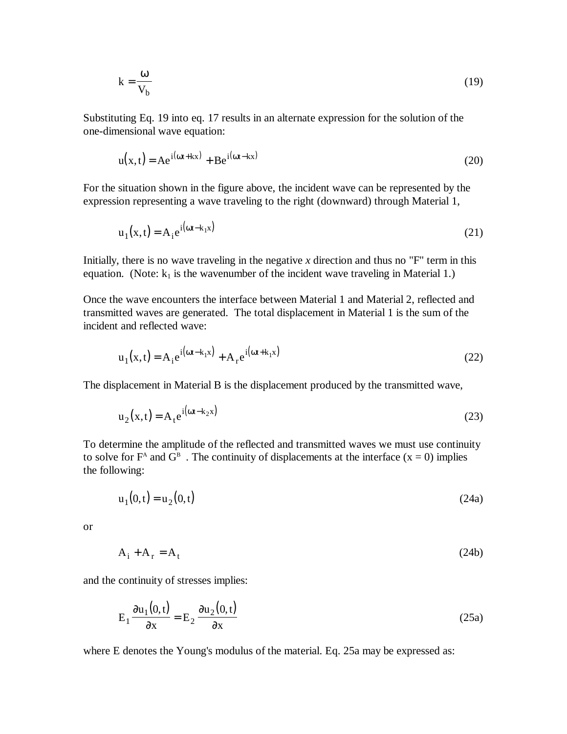$$
k = \frac{\omega}{V_b} \tag{19}
$$

Substituting Eq. 19 into eq. 17 results in an alternate expression for the solution of the one-dimensional wave equation:

$$
u(x,t) = Ae^{i(\omega t + kx)} + Be^{i(\omega t - kx)}
$$
\n(20)

For the situation shown in the figure above, the incident wave can be represented by the expression representing a wave traveling to the right (downward) through Material 1,

$$
u_1(x,t) = A_i e^{i(\omega t - k_1 x)}
$$
\n(21)

Initially, there is no wave traveling in the negative  $x$  direction and thus no "F" term in this equation. (Note:  $k_1$  is the wavenumber of the incident wave traveling in Material 1.)

Once the wave encounters the interface between Material 1 and Material 2, reflected and transmitted waves are generated. The total displacement in Material 1 is the sum of the incident and reflected wave:

$$
u_1(x,t) = A_1 e^{i(\omega t - k_1 x)} + A_r e^{i(\omega t + k_1 x)}
$$
\n(22)

The displacement in Material B is the displacement produced by the transmitted wave,

$$
u_2(x,t) = A_t e^{i(\omega t - k_2 x)}
$$
 (23)

To determine the amplitude of the reflected and transmitted waves we must use continuity to solve for  $F^A$  and  $G^B$ . The continuity of displacements at the interface  $(x = 0)$  implies the following:

$$
u_1(0,t) = u_2(0,t) \tag{24a}
$$

or

$$
A_i + A_r = A_t \tag{24b}
$$

and the continuity of stresses implies:

$$
E_1 \frac{\partial u_1(0, t)}{\partial x} = E_2 \frac{\partial u_2(0, t)}{\partial x}
$$
 (25a)

where E denotes the Young's modulus of the material. Eq. 25a may be expressed as: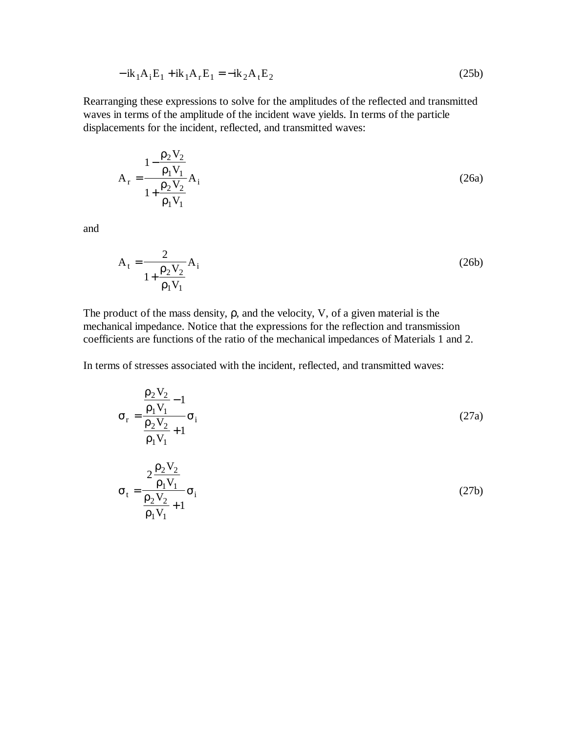$$
-ik_1A_iE_1 + ik_1A_rE_1 = -ik_2A_tE_2
$$
\n(25b)

Rearranging these expressions to solve for the amplitudes of the reflected and transmitted waves in terms of the amplitude of the incident wave yields. In terms of the particle displacements for the incident, reflected, and transmitted waves:

$$
A_{r} = \frac{1 - \frac{\rho_2 V_2}{\rho_1 V_1}}{1 + \frac{\rho_2 V_2}{\rho_1 V_1}} A_{i}
$$
 (26a)

and

$$
A_{t} = \frac{2}{1 + \frac{\rho_{2} V_{2}}{\rho_{1} V_{1}}} A_{i}
$$
 (26b)

The product of the mass density, ρ, and the velocity, V, of a given material is the mechanical impedance. Notice that the expressions for the reflection and transmission coefficients are functions of the ratio of the mechanical impedances of Materials 1 and 2.

In terms of stresses associated with the incident, reflected, and transmitted waves:

$$
\sigma_{\rm r} = \frac{\frac{\rho_2 V_2}{\rho_1 V_1} - 1}{\frac{\rho_2 V_2}{\rho_1 V_1} + 1} \sigma_{\rm i}
$$
\n(27a)  
\n
$$
\sigma_{\rm t} = \frac{2 \frac{\rho_2 V_2}{\rho_1 V_1}}{\frac{\rho_2 V_2}{\rho_1 V_1} + 1} \sigma_{\rm i}
$$
\n(27b)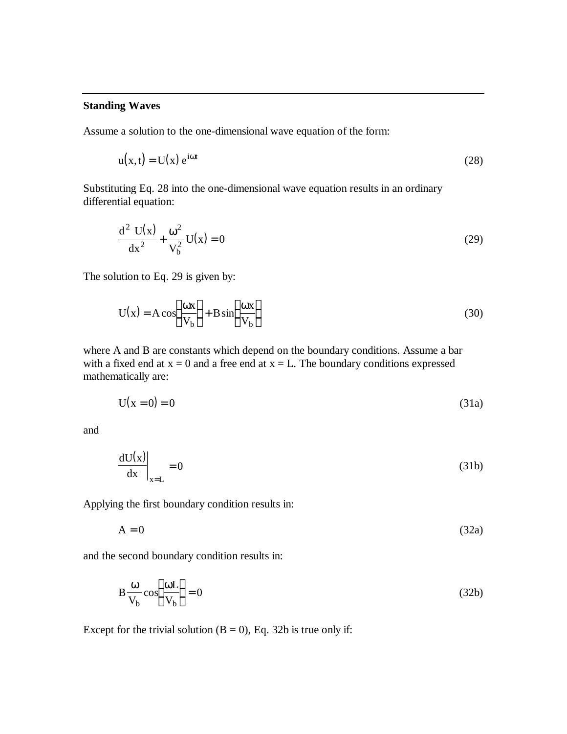#### **Standing Waves**

Assume a solution to the one-dimensional wave equation of the form:

$$
u(x,t) = U(x) e^{i\omega t}
$$
 (28)

Substituting Eq. 28 into the one-dimensional wave equation results in an ordinary differential equation:

$$
\frac{d^2 U(x)}{dx^2} + \frac{\omega^2}{V_b^2} U(x) = 0
$$
 (29)

The solution to Eq. 29 is given by:

$$
U(x) = A \cos\left(\frac{\omega x}{V_b}\right) + B \sin\left(\frac{\omega x}{V_b}\right)
$$
 (30)

where A and B are constants which depend on the boundary conditions. Assume a bar with a fixed end at  $x = 0$  and a free end at  $x = L$ . The boundary conditions expressed mathematically are:

$$
U(x = 0) = 0 \tag{31a}
$$

and

$$
\left. \frac{dU(x)}{dx} \right|_{x=L} = 0 \tag{31b}
$$

Applying the first boundary condition results in:

 $A = 0$  (32a)

and the second boundary condition results in:

$$
B\frac{\omega}{V_b}\cos\left(\frac{\omega L}{V_b}\right) = 0\tag{32b}
$$

Except for the trivial solution  $(B = 0)$ , Eq. 32b is true only if: